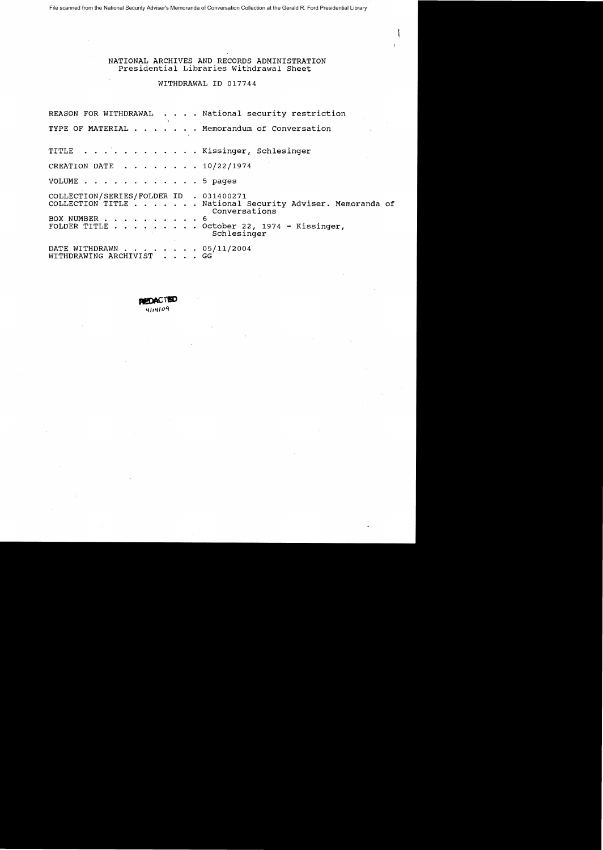File scanned from the National Security Adviser's Memoranda of Conversation Collection at the Gerald R. Ford Presidential Library

NATIONAL ARCHIVES AND RECORDS ADMINISTRATION Presidential Libraries Withdrawal Sheet

WITHDRAWAL ID 017744

|                                                         | REASON FOR WITHDRAWAL National security restriction                                                                                    |  |
|---------------------------------------------------------|----------------------------------------------------------------------------------------------------------------------------------------|--|
|                                                         | TYPE OF MATERIAL Memorandum of Conversation                                                                                            |  |
|                                                         | TITLE Kissinger, Schlesinger                                                                                                           |  |
| CREATION DATE 10/22/1974                                |                                                                                                                                        |  |
| VOLUME 5 pages                                          |                                                                                                                                        |  |
| COLLECTION/SERIES/FOLDER ID . 031400271<br>BOX NUMBER 6 | COLLECTION TITLE National Security Adviser. Memoranda of<br>Conversations<br>FOLDER TITLE October 22, 1974 - Kissinger,<br>Schlesinger |  |
| DATE WITHDRAWN 05/11/2004<br>WITHDRAWING ARCHIVIST GG   |                                                                                                                                        |  |

**PHEDACT** 4114109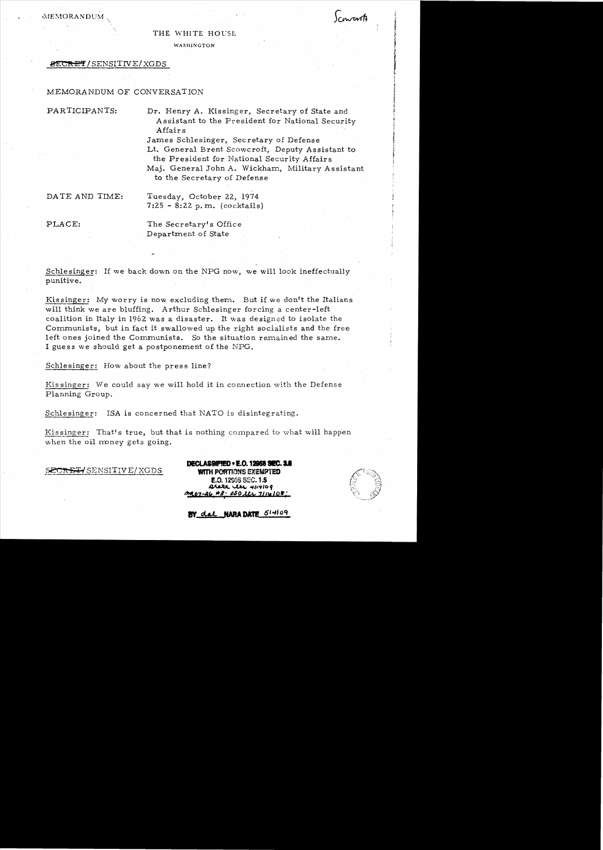MEMORANDUM

### THE WHITE HOUSE

WASHINGTON

## 8ECRET/SENSITIVE/XGDS

# MEMORANDUM OF CONVERSATION

PARTICIPANTS: Dr. Henry A. Kissinger, Secretary of State and A ssistant to the President for National Security Affairs

> James Schlesinger, Secretary of Defense Lt. General Brent Scowcroft, Deputy Assistant to the President for National Security Affairs Maj. General John A. Wickham, Military Assistant to the Secretary of Defense

DATE AND TIME: Tuesday, October 22, 1974 7:25 - 8:22 p. m. (cocktails)

PLACE: The Secretary's Office Department of State

Schlesinger: If we back down on the NPG now, we will look ineffectually punitive.

Kissinger: My worry is now excluding them. But if we don't the Italians will think we are bluffing. Arthur Schlesinger forcing a center-left coalition in Italy in 1962 was a disaster. It was designed to isolate the Communists; but in fact it swallowed up the right socialists and the free left ones joined the Communists. So the situation remained the same. I guess we should get a postponement of the NPG.

Schlesinger: How about the press line?

 $Kissinger:$  We could say we will hold it in connection with the Defense Planning Group.

. Schlesinger: ISA is concerned that NATO is disintegrating.

Kissinger: That's true, but that is nothing compared to what will happen when the oil money gets going.

SECRET/ SENSITIVE/XGDS

DECLASSIFIED . E.O. 12958 SEC. 3.6 WITH PORTIONS EXEMPTED E.O. 12958 SEC. 1.5 arate cles 4114109 <u>mo7-26 #3: OSO lts 7114108:</u>

Concerto

BY del NARA DATE 514109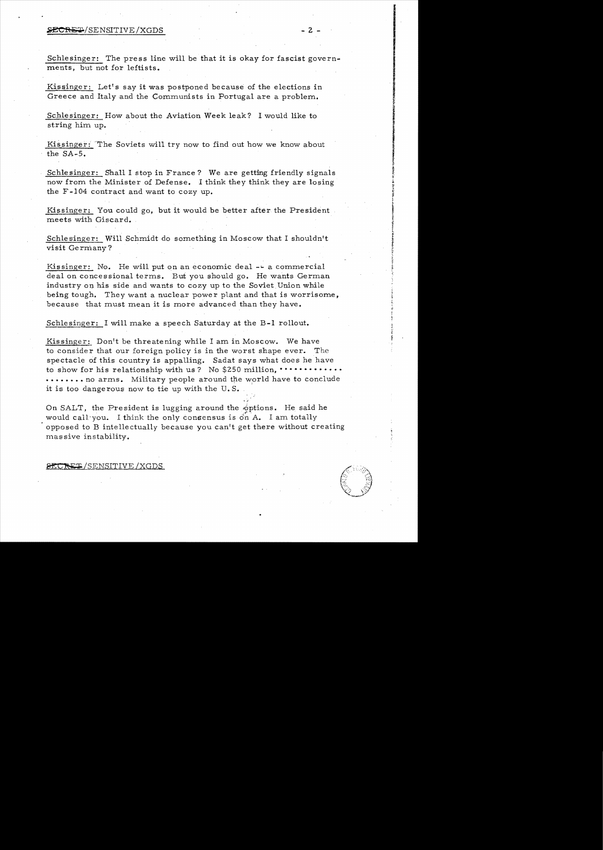### ~RE.:;!.70/SENSITIVE /XGDS - 2 -

Schlesinger: The press line will be that it is okay for fascist governments, but not for leftists.

Kissinger: Let's say it was postponed because of the elections in Greece and Italy and the Communists in Portugal are a problem.

Schlesinger: How about the Aviation Week leak? I would like to string him up.

Kissinger: The Soviets will try now to find out how we know about the SA-5.

Schlesinger: Shall I stop in France? We are getting friendly signals now from the Minister of Defense. I think they think they are losing the F -104 contract and want to cozy up.

Kissinger: You could go, but it would be better after the President meets with Giscard.

Schlesinger: Wilt Schmidt do something in Moscow that I shouldn't visit Germany?

Kissinger: No. He will put on an economic deal  $-$  a commercial deal on concessional terms. But you should go. He wants German industry on his side and wants to cozy up to the Soviet Union while being tough. They want a nuclear power plant and that is worrisome, because that must mean it is more advanced than they have •

Schlesinger: I will make a speech Saturday at the B-1 rollout.

Kissinger: Don't be threatening while I am in Moscow. We have to consider that our foreign policy is in the worst shape ever. The spectacle 6f this country is appalling. Sadat says what does he have to show for his relationship with us? No \$250 million,  $\cdots \cdots$ • • • • • • • • no arms. Military people around the world have to conclude it is too dange rous now to tie up with the U. S.

On SALT, the President is lugging around the options. He said he would call you. I think the only consensus is  $\mathbb{d}n$  A. I am totally . opposed to B intellectually because you can1t get there without creating mas sive instability.

#### SECRET/SENSITIVE/XGDS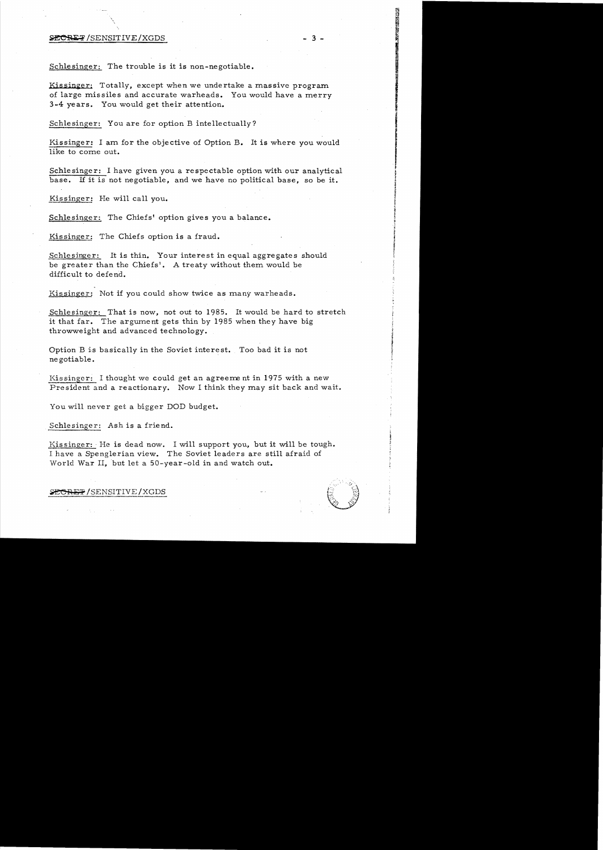## $\angle$ SECRET/SENSITIVE/XGDS - 3 -

Schlesinger: The trouble is it is non-negotiable.

Kissinger: Totally, except when we undertake a massive program of large missiles and accurate warheads. You would have a merry 3 -4 years. You would get their attention.

Schlesinger: You are for option B intellectually?

Kissinger: I am for the objective of Option B. It is where you would like to come out.

Schlesinger: I have given you a respectable option with our analytical base. If it is not negotiable, and we have no political base, so be it.

Kissinger: He will call you.

Schlesinger: The Chiefs' option gives you a balance.

Kissinger: The Chiefs option is a fraud.

Schlesinger: It is thin. Your interest in equal aggregates should be greater than the Chiefs'. A treaty without them would be difficult to defend.

Kissinger: Not if you could show twice as many warheads.

Schlesinger: That is now, not out to 1985. It would be hard to stretch it that far. The argument gets thin by 1985 when they have big throwweight and advanced technology.

Option B is basically in the Soviet interest. Too bad it is not ne gotiable.

Kissinger: I thought we could get an agreement in 1975 with a new President and a reactionary. Now I think they may sit back and wait.

You will never get a bigger DOD budget.

Schlesinger: Ash is a friend.

Kissinger: He is dead now. I will support you, but it will be tough. I have a Spenglerian view. The Soviet leaders are still afraid of World War II, but let a 50-year-old in and watch out.

SECRET/SENSITIVE/XGDS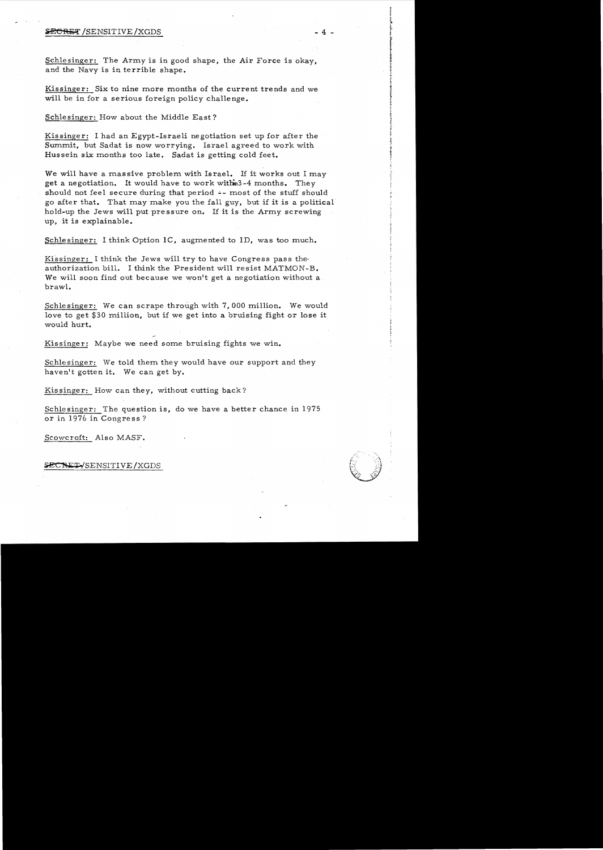### S<del>ECRE</del>T /SENSITIVE /XGDS

Schlesinger: The Army is in good shape, the Air Force is okay. and the Navy is in terrible shape.

Kissinger: Six to nine more months of the current trends and we will be in for a serious foreign policy challenge.

Schlesinger: How about the Middle East?

Kissinger: I had an Egypt-Israeli negotiation set up for after the Summit, but Sadat is now worrying. Israel agreed to work with Hussein six months too late. Sadat is getting cold feet.

We will have a massive problem with Israel. If it works out I may get a negotiation. It would have to work withm3-4 months. They should not feel secure during that period  $\div$ - most of the stuff should go after that. That may make you the fall guy, but if it is a political hold-up the Jews will put pressure on. 1£ it is the Army screwing up, it is explainable.

Schlesinger: I think Option IC, augmented to ID, was too much.

Kissinger: I think the Jews will try to have Congress pass theauthorization bill. I think the President will resist MATMON-B. We will soon find out because we won't get a negotiation without a brawl.

Schlesinger: We can scrape through with 7,000 million. We would love to get  $$30$  million, but if we get into a bruising fight or lose it would hurt.

Kissinger: Maybe we need some bruising fights we win.

Schlesinger: We told them they would have our support and they haven't gotten it. We can get by.

Kissinger: How can they, without cutting back?

Schlesinger: The question is, do we have a better chance in 1975 or in 1976 in Congress?

Scowcroft: Also MASF.

SECRET SENSITIVE / XGDS

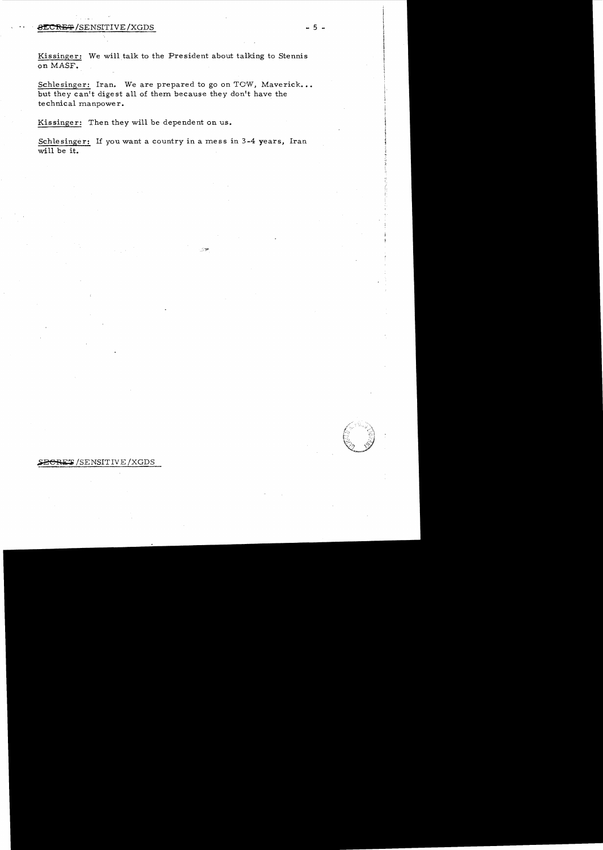# $\overline{\text{BECREF}}$ /SENSITIVE/XGDS - 5 -

Kissinger: We will talk to the President about talking to Stennis on MASF.

Schlesinger: Iran. We are prepared to go on TOW, Maverick... but they can't digest all of them because they don't have the technical manpower.

Kissinger: Then they will be dependent on us.

Schlesinger: If you want a country in a mess in 3-4 years, Iran will be it.

 $\lesssim 20$ 

**~BCRET/SENSITIVE/XGDS**